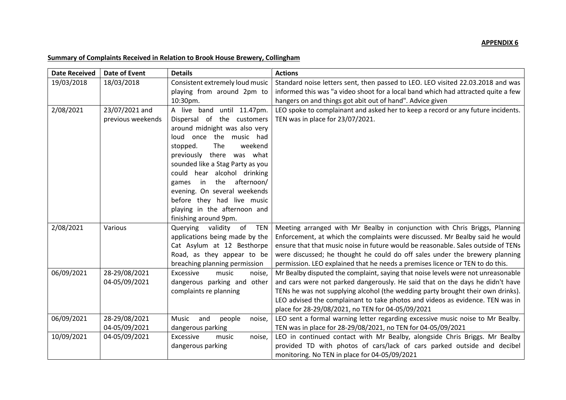## **APPENDIX 6**

| <b>Date Received</b> | Date of Event     | <b>Details</b>                                                      | <b>Actions</b>                                                                                                                                             |
|----------------------|-------------------|---------------------------------------------------------------------|------------------------------------------------------------------------------------------------------------------------------------------------------------|
| 19/03/2018           | 18/03/2018        | Consistent extremely loud music                                     | Standard noise letters sent, then passed to LEO. LEO visited 22.03.2018 and was                                                                            |
|                      |                   | playing from around 2pm to                                          | informed this was "a video shoot for a local band which had attracted quite a few                                                                          |
|                      |                   | 10:30pm.                                                            | hangers on and things got abit out of hand". Advice given                                                                                                  |
| 2/08/2021            | 23/07/2021 and    | A live band until 11.47pm.                                          | LEO spoke to complainant and asked her to keep a record or any future incidents.                                                                           |
|                      | previous weekends | Dispersal of the customers                                          | TEN was in place for 23/07/2021.                                                                                                                           |
|                      |                   | around midnight was also very                                       |                                                                                                                                                            |
|                      |                   | loud once the music had                                             |                                                                                                                                                            |
|                      |                   | The<br>weekend<br>stopped.                                          |                                                                                                                                                            |
|                      |                   | there was what<br>previously                                        |                                                                                                                                                            |
|                      |                   | sounded like a Stag Party as you                                    |                                                                                                                                                            |
|                      |                   | could hear alcohol drinking                                         |                                                                                                                                                            |
|                      |                   | the<br>afternoon/<br>in<br>games                                    |                                                                                                                                                            |
|                      |                   | evening. On several weekends                                        |                                                                                                                                                            |
|                      |                   | before they had live music                                          |                                                                                                                                                            |
|                      |                   | playing in the afternoon and                                        |                                                                                                                                                            |
|                      |                   | finishing around 9pm.                                               |                                                                                                                                                            |
| 2/08/2021            | Various           | of<br>Querying<br>validity<br>TEN<br>applications being made by the | Meeting arranged with Mr Bealby in conjunction with Chris Briggs, Planning<br>Enforcement, at which the complaints were discussed. Mr Bealby said he would |
|                      |                   | Cat Asylum at 12 Besthorpe                                          | ensure that that music noise in future would be reasonable. Sales outside of TENs                                                                          |
|                      |                   | Road, as they appear to be                                          | were discussed; he thought he could do off sales under the brewery planning                                                                                |
|                      |                   | breaching planning permission                                       | permission. LEO explained that he needs a premises licence or TEN to do this.                                                                              |
| 06/09/2021           | 28-29/08/2021     | Excessive<br>music<br>noise,                                        | Mr Bealby disputed the complaint, saying that noise levels were not unreasonable                                                                           |
|                      | 04-05/09/2021     | dangerous parking and other                                         | and cars were not parked dangerously. He said that on the days he didn't have                                                                              |
|                      |                   | complaints re planning                                              | TENs he was not supplying alcohol (the wedding party brought their own drinks).                                                                            |
|                      |                   |                                                                     | LEO advised the complainant to take photos and videos as evidence. TEN was in                                                                              |
|                      |                   |                                                                     | place for 28-29/08/2021, no TEN for 04-05/09/2021                                                                                                          |
| 06/09/2021           | 28-29/08/2021     | Music<br>and<br>people<br>noise,                                    | LEO sent a formal warning letter regarding excessive music noise to Mr Bealby.                                                                             |
|                      | 04-05/09/2021     | dangerous parking                                                   | TEN was in place for 28-29/08/2021, no TEN for 04-05/09/2021                                                                                               |
| 10/09/2021           | 04-05/09/2021     | Excessive<br>music<br>noise,                                        | LEO in continued contact with Mr Bealby, alongside Chris Briggs. Mr Bealby                                                                                 |
|                      |                   | dangerous parking                                                   | provided TD with photos of cars/lack of cars parked outside and decibel                                                                                    |
|                      |                   |                                                                     | monitoring. No TEN in place for 04-05/09/2021                                                                                                              |

## **Summary of Complaints Received in Relation to Brook House Brewery, Collingham**